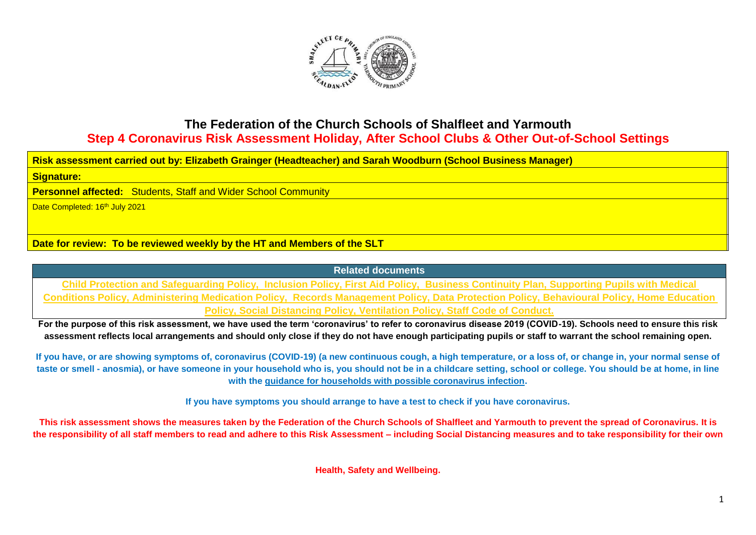

## **The Federation of the Church Schools of Shalfleet and Yarmouth Step 4 Coronavirus Risk Assessment Holiday, After School Clubs & Other Out-of-School Settings**

**Risk assessment carried out by: Elizabeth Grainger (Headteacher) and Sarah Woodburn (School Business Manager)**

**Signature:**

**Personnel affected:** Students, Staff and Wider School Community

Date Completed: 16<sup>th</sup> July 2021

**Date for review: To be reviewed weekly by the HT and Members of the SLT**

**Related documents**

**Child Protection and Safeguarding Policy, Inclusion Policy, First Aid Policy, Business Continuity Plan, Supporting Pupils with Medical Conditions Policy, Administering Medication Policy, Records Management Policy, Data Protection Policy, Behavioural Policy, Home Education Policy, Social Distancing Policy, Ventilation Policy, Staff Code of Conduct.**

**For the purpose of this risk assessment, we have used the term 'coronavirus' to refer to coronavirus disease 2019 (COVID-19). Schools need to ensure this risk assessment reflects local arrangements and should only close if they do not have enough participating pupils or staff to warrant the school remaining open.**

**If you have, or are showing symptoms of, coronavirus (COVID-19) (a new continuous cough, a high temperature, or a loss of, or change in, your normal sense of taste or smell - anosmia), or have someone in your household who is, you should not be in a childcare setting, school or college. You should be at home, in line with the [guidance for households with possible coronavirus infection.](https://www.gov.uk/government/publications/covid-19-stay-at-home-guidance)**

**If you have symptoms you should arrange to have a test to check if you have coronavirus.**

**This risk assessment shows the measures taken by the Federation of the Church Schools of Shalfleet and Yarmouth to prevent the spread of Coronavirus. It is the responsibility of all staff members to read and adhere to this Risk Assessment – including Social Distancing measures and to take responsibility for their own** 

**Health, Safety and Wellbeing.**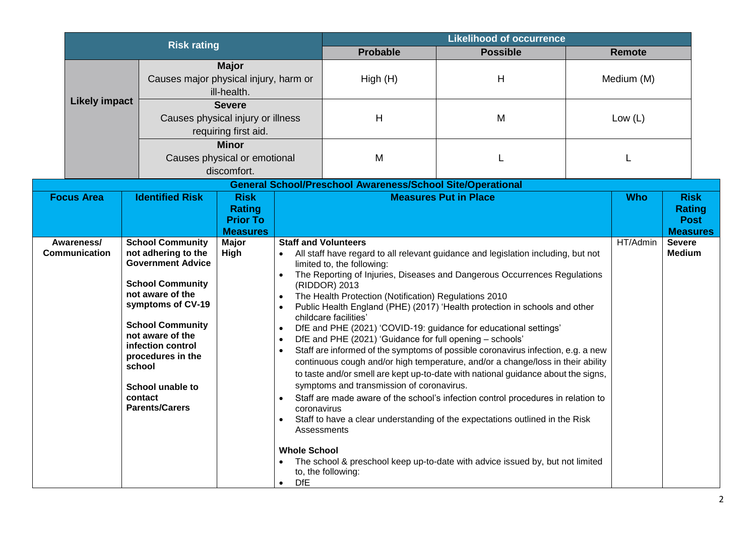| <b>Risk rating</b>                                                   |                                                                                                                                                                                                                                                                                                                  |                                                                                                                                           |                                                                                                                                                                       | <b>Likelihood of occurrence</b>                                                                                                                                                                                                                                                                            |                                                                                                                                                                                                                                                                                                                                                                                                                                                                                                                                                                                                                                                                                                                                                                                                                                   |            |               |                                                                |
|----------------------------------------------------------------------|------------------------------------------------------------------------------------------------------------------------------------------------------------------------------------------------------------------------------------------------------------------------------------------------------------------|-------------------------------------------------------------------------------------------------------------------------------------------|-----------------------------------------------------------------------------------------------------------------------------------------------------------------------|------------------------------------------------------------------------------------------------------------------------------------------------------------------------------------------------------------------------------------------------------------------------------------------------------------|-----------------------------------------------------------------------------------------------------------------------------------------------------------------------------------------------------------------------------------------------------------------------------------------------------------------------------------------------------------------------------------------------------------------------------------------------------------------------------------------------------------------------------------------------------------------------------------------------------------------------------------------------------------------------------------------------------------------------------------------------------------------------------------------------------------------------------------|------------|---------------|----------------------------------------------------------------|
|                                                                      |                                                                                                                                                                                                                                                                                                                  |                                                                                                                                           |                                                                                                                                                                       | <b>Probable</b>                                                                                                                                                                                                                                                                                            | <b>Possible</b>                                                                                                                                                                                                                                                                                                                                                                                                                                                                                                                                                                                                                                                                                                                                                                                                                   |            | <b>Remote</b> |                                                                |
| <b>Major</b><br>Causes major physical injury, harm or<br>ill-health. |                                                                                                                                                                                                                                                                                                                  |                                                                                                                                           | High(H)                                                                                                                                                               | $\mathsf{H}$                                                                                                                                                                                                                                                                                               |                                                                                                                                                                                                                                                                                                                                                                                                                                                                                                                                                                                                                                                                                                                                                                                                                                   | Medium (M) |               |                                                                |
| <b>Likely impact</b>                                                 |                                                                                                                                                                                                                                                                                                                  | <b>Severe</b><br>Causes physical injury or illness<br>requiring first aid.<br><b>Minor</b><br>Causes physical or emotional<br>discomfort. |                                                                                                                                                                       | Н                                                                                                                                                                                                                                                                                                          | M                                                                                                                                                                                                                                                                                                                                                                                                                                                                                                                                                                                                                                                                                                                                                                                                                                 |            | Low $(L)$     |                                                                |
|                                                                      |                                                                                                                                                                                                                                                                                                                  |                                                                                                                                           |                                                                                                                                                                       | M                                                                                                                                                                                                                                                                                                          |                                                                                                                                                                                                                                                                                                                                                                                                                                                                                                                                                                                                                                                                                                                                                                                                                                   |            | L             |                                                                |
|                                                                      |                                                                                                                                                                                                                                                                                                                  |                                                                                                                                           |                                                                                                                                                                       | <b>General School/Preschool Awareness/School Site/Operational</b>                                                                                                                                                                                                                                          |                                                                                                                                                                                                                                                                                                                                                                                                                                                                                                                                                                                                                                                                                                                                                                                                                                   |            |               |                                                                |
| <b>Focus Area</b>                                                    | <b>Identified Risk</b>                                                                                                                                                                                                                                                                                           | <b>Risk</b><br><b>Rating</b><br><b>Prior To</b><br><b>Measures</b>                                                                        |                                                                                                                                                                       |                                                                                                                                                                                                                                                                                                            | <b>Measures Put in Place</b>                                                                                                                                                                                                                                                                                                                                                                                                                                                                                                                                                                                                                                                                                                                                                                                                      |            | <b>Who</b>    | <b>Risk</b><br><b>Rating</b><br><b>Post</b><br><b>Measures</b> |
| Awareness/<br><b>Communication</b>                                   | <b>School Community</b><br>not adhering to the<br><b>Government Advice</b><br><b>School Community</b><br>not aware of the<br>symptoms of CV-19<br><b>School Community</b><br>not aware of the<br>infection control<br>procedures in the<br>school<br><b>School unable to</b><br>contact<br><b>Parents/Carers</b> | Major<br>High                                                                                                                             | $\bullet$<br>$\bullet$<br>$\bullet$<br>$\bullet$<br>$\bullet$<br>$\bullet$<br>coronavirus<br>$\bullet$<br><b>Whole School</b><br>$\bullet$<br><b>DfE</b><br>$\bullet$ | <b>Staff and Volunteers</b><br>limited to, the following:<br>(RIDDOR) 2013<br>The Health Protection (Notification) Regulations 2010<br>childcare facilities'<br>DfE and PHE (2021) 'Guidance for full opening - schools'<br>symptoms and transmission of coronavirus.<br>Assessments<br>to, the following: | All staff have regard to all relevant guidance and legislation including, but not<br>The Reporting of Injuries, Diseases and Dangerous Occurrences Regulations<br>Public Health England (PHE) (2017) 'Health protection in schools and other<br>DfE and PHE (2021) 'COVID-19: guidance for educational settings'<br>Staff are informed of the symptoms of possible coronavirus infection, e.g. a new<br>continuous cough and/or high temperature, and/or a change/loss in their ability<br>to taste and/or smell are kept up-to-date with national guidance about the signs,<br>Staff are made aware of the school's infection control procedures in relation to<br>Staff to have a clear understanding of the expectations outlined in the Risk<br>The school & preschool keep up-to-date with advice issued by, but not limited |            | HT/Admin      | <b>Severe</b><br><b>Medium</b>                                 |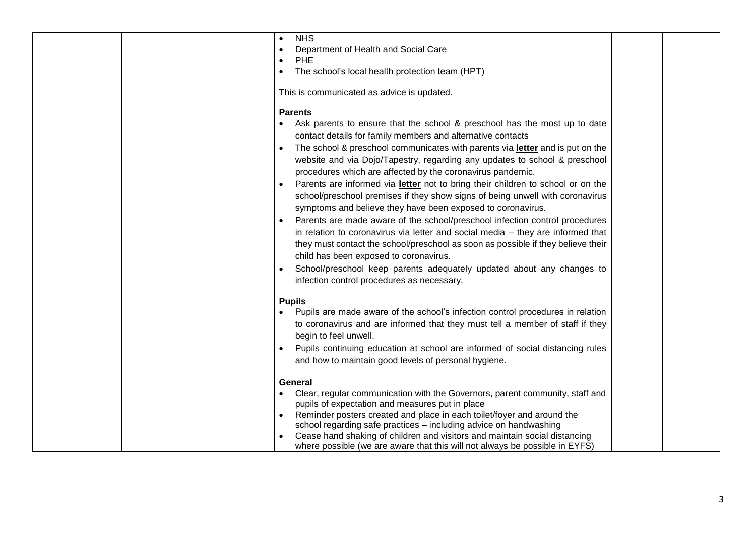| <b>NHS</b><br>Department of Health and Social Care<br><b>PHE</b><br>The school's local health protection team (HPT)<br>This is communicated as advice is updated.                                                                                                                                                                                                                                                                                                                                                                                                                                                                                                                                                                                                                                                                                                                                                                                                                                                                                 |  |
|---------------------------------------------------------------------------------------------------------------------------------------------------------------------------------------------------------------------------------------------------------------------------------------------------------------------------------------------------------------------------------------------------------------------------------------------------------------------------------------------------------------------------------------------------------------------------------------------------------------------------------------------------------------------------------------------------------------------------------------------------------------------------------------------------------------------------------------------------------------------------------------------------------------------------------------------------------------------------------------------------------------------------------------------------|--|
| <b>Parents</b><br>Ask parents to ensure that the school & preschool has the most up to date<br>contact details for family members and alternative contacts<br>The school & preschool communicates with parents via letter and is put on the<br>website and via Dojo/Tapestry, regarding any updates to school & preschool<br>procedures which are affected by the coronavirus pandemic.<br>Parents are informed via letter not to bring their children to school or on the<br>school/preschool premises if they show signs of being unwell with coronavirus<br>symptoms and believe they have been exposed to coronavirus.<br>Parents are made aware of the school/preschool infection control procedures<br>in relation to coronavirus via letter and social media - they are informed that<br>they must contact the school/preschool as soon as possible if they believe their<br>child has been exposed to coronavirus.<br>School/preschool keep parents adequately updated about any changes to<br>infection control procedures as necessary. |  |
| <b>Pupils</b><br>Pupils are made aware of the school's infection control procedures in relation<br>to coronavirus and are informed that they must tell a member of staff if they<br>begin to feel unwell.<br>Pupils continuing education at school are informed of social distancing rules<br>and how to maintain good levels of personal hygiene.                                                                                                                                                                                                                                                                                                                                                                                                                                                                                                                                                                                                                                                                                                |  |
| General<br>Clear, regular communication with the Governors, parent community, staff and<br>pupils of expectation and measures put in place<br>Reminder posters created and place in each toilet/foyer and around the<br>school regarding safe practices - including advice on handwashing<br>Cease hand shaking of children and visitors and maintain social distancing<br>where possible (we are aware that this will not always be possible in EYFS)                                                                                                                                                                                                                                                                                                                                                                                                                                                                                                                                                                                            |  |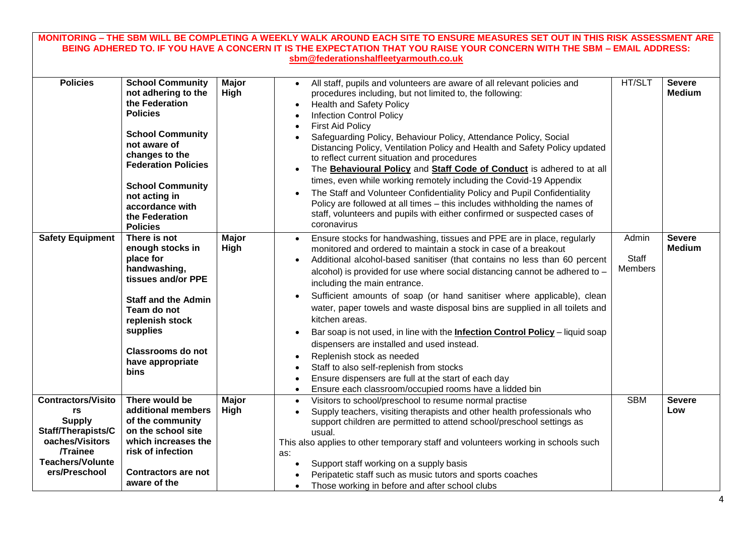| MONITORING – THE SBM WILL BE COMPLETING A WEEKLY WALK AROUND EACH SITE TO ENSURE MEASURES SET OUT IN THIS RISK ASSESSMENT ARE                                  |                                                                                                                                                                                                                                                                                    |                      |                                                                                                                                                                                                                                                                                                                                                                                                                                                                                                                                                                                                                                                                                                                                                                                                                                                               |                                         |                                |  |  |  |
|----------------------------------------------------------------------------------------------------------------------------------------------------------------|------------------------------------------------------------------------------------------------------------------------------------------------------------------------------------------------------------------------------------------------------------------------------------|----------------------|---------------------------------------------------------------------------------------------------------------------------------------------------------------------------------------------------------------------------------------------------------------------------------------------------------------------------------------------------------------------------------------------------------------------------------------------------------------------------------------------------------------------------------------------------------------------------------------------------------------------------------------------------------------------------------------------------------------------------------------------------------------------------------------------------------------------------------------------------------------|-----------------------------------------|--------------------------------|--|--|--|
| BEING ADHERED TO. IF YOU HAVE A CONCERN IT IS THE EXPECTATION THAT YOU RAISE YOUR CONCERN WITH THE SBM - EMAIL ADDRESS:                                        |                                                                                                                                                                                                                                                                                    |                      |                                                                                                                                                                                                                                                                                                                                                                                                                                                                                                                                                                                                                                                                                                                                                                                                                                                               |                                         |                                |  |  |  |
| sbm@federationshalfleetyarmouth.co.uk                                                                                                                          |                                                                                                                                                                                                                                                                                    |                      |                                                                                                                                                                                                                                                                                                                                                                                                                                                                                                                                                                                                                                                                                                                                                                                                                                                               |                                         |                                |  |  |  |
|                                                                                                                                                                |                                                                                                                                                                                                                                                                                    |                      |                                                                                                                                                                                                                                                                                                                                                                                                                                                                                                                                                                                                                                                                                                                                                                                                                                                               |                                         |                                |  |  |  |
| <b>Policies</b>                                                                                                                                                | <b>School Community</b><br>not adhering to the<br>the Federation<br><b>Policies</b><br><b>School Community</b><br>not aware of<br>changes to the<br><b>Federation Policies</b><br><b>School Community</b><br>not acting in<br>accordance with<br>the Federation<br><b>Policies</b> | <b>Major</b><br>High | All staff, pupils and volunteers are aware of all relevant policies and<br>procedures including, but not limited to, the following:<br><b>Health and Safety Policy</b><br><b>Infection Control Policy</b><br><b>First Aid Policy</b><br>Safeguarding Policy, Behaviour Policy, Attendance Policy, Social<br>Distancing Policy, Ventilation Policy and Health and Safety Policy updated<br>to reflect current situation and procedures<br>The Behavioural Policy and Staff Code of Conduct is adhered to at all<br>times, even while working remotely including the Covid-19 Appendix<br>The Staff and Volunteer Confidentiality Policy and Pupil Confidentiality<br>Policy are followed at all times - this includes withholding the names of<br>staff, volunteers and pupils with either confirmed or suspected cases of<br>coronavirus                      | HT/SLT                                  | <b>Severe</b><br><b>Medium</b> |  |  |  |
| <b>Safety Equipment</b>                                                                                                                                        | There is not<br>enough stocks in<br>place for<br>handwashing,<br>tissues and/or PPE<br><b>Staff and the Admin</b><br>Team do not<br>replenish stock<br>supplies<br><b>Classrooms do not</b><br>have appropriate<br>bins                                                            | <b>Major</b><br>High | Ensure stocks for handwashing, tissues and PPE are in place, regularly<br>$\bullet$<br>monitored and ordered to maintain a stock in case of a breakout<br>Additional alcohol-based sanitiser (that contains no less than 60 percent<br>alcohol) is provided for use where social distancing cannot be adhered to -<br>including the main entrance.<br>Sufficient amounts of soap (or hand sanitiser where applicable), clean<br>water, paper towels and waste disposal bins are supplied in all toilets and<br>kitchen areas.<br>Bar soap is not used, in line with the <b>Infection Control Policy</b> - liquid soap<br>dispensers are installed and used instead.<br>Replenish stock as needed<br>Staff to also self-replenish from stocks<br>Ensure dispensers are full at the start of each day<br>Ensure each classroom/occupied rooms have a lidded bin | Admin<br><b>Staff</b><br><b>Members</b> | <b>Severe</b><br><b>Medium</b> |  |  |  |
| <b>Contractors/Visito</b><br>rs<br><b>Supply</b><br><b>Staff/Therapists/C</b><br>oaches/Visitors<br><b>Trainee</b><br><b>Teachers/Volunte</b><br>ers/Preschool | There would be<br>additional members<br>of the community<br>on the school site<br>which increases the<br>risk of infection<br><b>Contractors are not</b><br>aware of the                                                                                                           | <b>Major</b><br>High | Visitors to school/preschool to resume normal practise<br>$\bullet$<br>Supply teachers, visiting therapists and other health professionals who<br>support children are permitted to attend school/preschool settings as<br>usual.<br>This also applies to other temporary staff and volunteers working in schools such<br>as:<br>Support staff working on a supply basis<br>Peripatetic staff such as music tutors and sports coaches<br>Those working in before and after school clubs                                                                                                                                                                                                                                                                                                                                                                       | <b>SBM</b>                              | Severe<br>Low                  |  |  |  |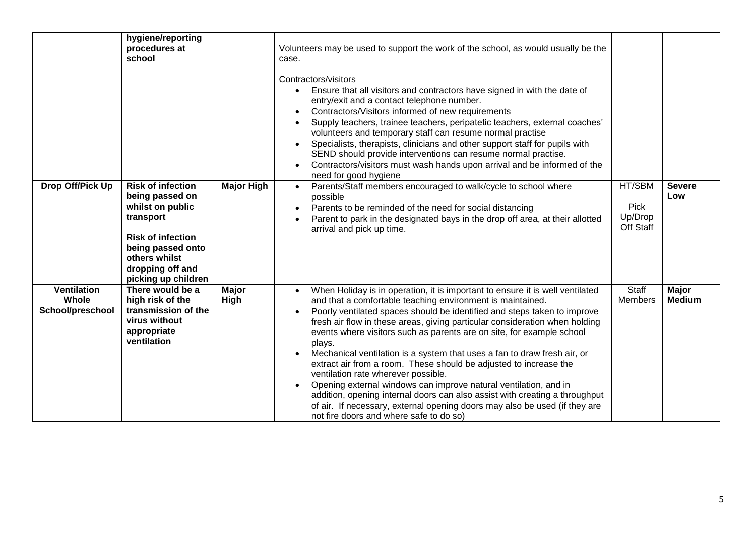|                                                 | hygiene/reporting<br>procedures at<br>school                                                                                                                                              |                      | Volunteers may be used to support the work of the school, as would usually be the<br>case.<br>Contractors/visitors<br>Ensure that all visitors and contractors have signed in with the date of<br>entry/exit and a contact telephone number.<br>Contractors/Visitors informed of new requirements<br>Supply teachers, trainee teachers, peripatetic teachers, external coaches'<br>volunteers and temporary staff can resume normal practise<br>Specialists, therapists, clinicians and other support staff for pupils with<br>$\bullet$<br>SEND should provide interventions can resume normal practise.<br>Contractors/visitors must wash hands upon arrival and be informed of the<br>$\bullet$<br>need for good hygiene                                                                                                                                   |                                        |                               |
|-------------------------------------------------|-------------------------------------------------------------------------------------------------------------------------------------------------------------------------------------------|----------------------|---------------------------------------------------------------------------------------------------------------------------------------------------------------------------------------------------------------------------------------------------------------------------------------------------------------------------------------------------------------------------------------------------------------------------------------------------------------------------------------------------------------------------------------------------------------------------------------------------------------------------------------------------------------------------------------------------------------------------------------------------------------------------------------------------------------------------------------------------------------|----------------------------------------|-------------------------------|
| Drop Off/Pick Up                                | <b>Risk of infection</b><br>being passed on<br>whilst on public<br>transport<br><b>Risk of infection</b><br>being passed onto<br>others whilst<br>dropping off and<br>picking up children | <b>Major High</b>    | Parents/Staff members encouraged to walk/cycle to school where<br>$\bullet$<br>possible<br>Parents to be reminded of the need for social distancing<br>Parent to park in the designated bays in the drop off area, at their allotted<br>arrival and pick up time.                                                                                                                                                                                                                                                                                                                                                                                                                                                                                                                                                                                             | HT/SBM<br>Pick<br>Up/Drop<br>Off Staff | <b>Severe</b><br>Low          |
| <b>Ventilation</b><br>Whole<br>School/preschool | There would be a<br>high risk of the<br>transmission of the<br>virus without<br>appropriate<br>ventilation                                                                                | <b>Major</b><br>High | When Holiday is in operation, it is important to ensure it is well ventilated<br>and that a comfortable teaching environment is maintained.<br>Poorly ventilated spaces should be identified and steps taken to improve<br>fresh air flow in these areas, giving particular consideration when holding<br>events where visitors such as parents are on site, for example school<br>plays.<br>Mechanical ventilation is a system that uses a fan to draw fresh air, or<br>extract air from a room. These should be adjusted to increase the<br>ventilation rate wherever possible.<br>Opening external windows can improve natural ventilation, and in<br>addition, opening internal doors can also assist with creating a throughput<br>of air. If necessary, external opening doors may also be used (if they are<br>not fire doors and where safe to do so) | Staff<br><b>Members</b>                | <b>Major</b><br><b>Medium</b> |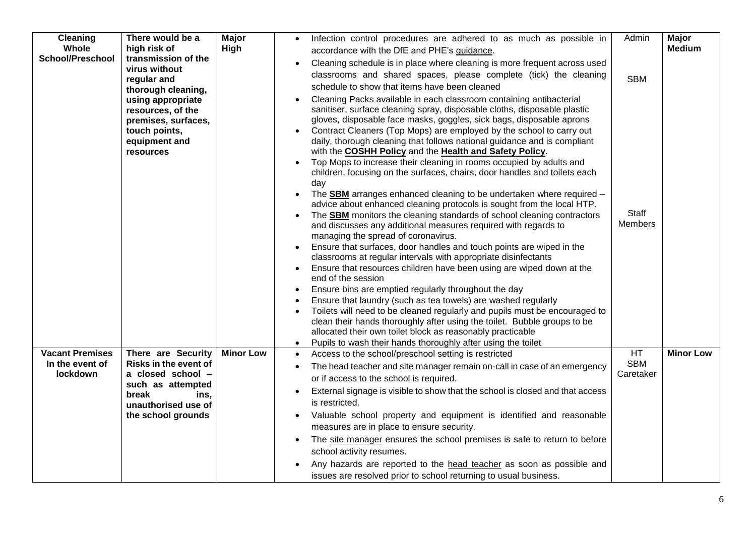| <b>Cleaning</b>         | There would be a                          | Major            | Infection control procedures are adhered to as much as possible in<br>$\bullet$                                                                                    | Admin          | <b>Major</b>     |
|-------------------------|-------------------------------------------|------------------|--------------------------------------------------------------------------------------------------------------------------------------------------------------------|----------------|------------------|
| Whole                   | high risk of                              | High             | accordance with the DfE and PHE's guidance.                                                                                                                        |                | <b>Medium</b>    |
| <b>School/Preschool</b> | transmission of the                       |                  | Cleaning schedule is in place where cleaning is more frequent across used<br>$\bullet$                                                                             |                |                  |
|                         | virus without<br>regular and              |                  | classrooms and shared spaces, please complete (tick) the cleaning                                                                                                  | <b>SBM</b>     |                  |
|                         | thorough cleaning,                        |                  | schedule to show that items have been cleaned                                                                                                                      |                |                  |
|                         | using appropriate                         |                  | Cleaning Packs available in each classroom containing antibacterial                                                                                                |                |                  |
|                         | resources, of the                         |                  | sanitiser, surface cleaning spray, disposable cloths, disposable plastic                                                                                           |                |                  |
|                         | premises, surfaces,                       |                  | gloves, disposable face masks, goggles, sick bags, disposable aprons                                                                                               |                |                  |
|                         | touch points,                             |                  | Contract Cleaners (Top Mops) are employed by the school to carry out                                                                                               |                |                  |
|                         | equipment and                             |                  | daily, thorough cleaning that follows national guidance and is compliant                                                                                           |                |                  |
|                         | resources                                 |                  | with the COSHH Policy and the Health and Safety Policy.                                                                                                            |                |                  |
|                         |                                           |                  | Top Mops to increase their cleaning in rooms occupied by adults and                                                                                                |                |                  |
|                         |                                           |                  | children, focusing on the surfaces, chairs, door handles and toilets each<br>day                                                                                   |                |                  |
|                         |                                           |                  | The <b>SBM</b> arranges enhanced cleaning to be undertaken where required -<br>$\bullet$<br>advice about enhanced cleaning protocols is sought from the local HTP. |                |                  |
|                         |                                           |                  | The <b>SBM</b> monitors the cleaning standards of school cleaning contractors                                                                                      | Staff          |                  |
|                         |                                           |                  | and discusses any additional measures required with regards to                                                                                                     | <b>Members</b> |                  |
|                         |                                           |                  | managing the spread of coronavirus.                                                                                                                                |                |                  |
|                         |                                           |                  | Ensure that surfaces, door handles and touch points are wiped in the                                                                                               |                |                  |
|                         |                                           |                  | classrooms at regular intervals with appropriate disinfectants                                                                                                     |                |                  |
|                         |                                           |                  | Ensure that resources children have been using are wiped down at the<br>$\bullet$                                                                                  |                |                  |
|                         |                                           |                  | end of the session                                                                                                                                                 |                |                  |
|                         |                                           |                  | Ensure bins are emptied regularly throughout the day<br>$\bullet$                                                                                                  |                |                  |
|                         |                                           |                  | Ensure that laundry (such as tea towels) are washed regularly                                                                                                      |                |                  |
|                         |                                           |                  | Toilets will need to be cleaned regularly and pupils must be encouraged to<br>clean their hands thoroughly after using the toilet. Bubble groups to be             |                |                  |
|                         |                                           |                  | allocated their own toilet block as reasonably practicable                                                                                                         |                |                  |
|                         |                                           |                  | Pupils to wash their hands thoroughly after using the toilet<br>$\bullet$                                                                                          |                |                  |
| <b>Vacant Premises</b>  | There are Security                        | <b>Minor Low</b> | Access to the school/preschool setting is restricted<br>$\bullet$                                                                                                  | <b>HT</b>      | <b>Minor Low</b> |
| In the event of         | Risks in the event of                     |                  | The head teacher and site manager remain on-call in case of an emergency<br>$\bullet$                                                                              | <b>SBM</b>     |                  |
| <b>lockdown</b>         | a closed school -                         |                  | or if access to the school is required.                                                                                                                            | Caretaker      |                  |
|                         | such as attempted                         |                  | External signage is visible to show that the school is closed and that access<br>$\bullet$                                                                         |                |                  |
|                         | break<br>ins.                             |                  | is restricted.                                                                                                                                                     |                |                  |
|                         | unauthorised use of<br>the school grounds |                  | Valuable school property and equipment is identified and reasonable                                                                                                |                |                  |
|                         |                                           |                  | $\bullet$<br>measures are in place to ensure security.                                                                                                             |                |                  |
|                         |                                           |                  | The site manager ensures the school premises is safe to return to before<br>$\bullet$                                                                              |                |                  |
|                         |                                           |                  | school activity resumes.                                                                                                                                           |                |                  |
|                         |                                           |                  | Any hazards are reported to the head teacher as soon as possible and                                                                                               |                |                  |
|                         |                                           |                  | issues are resolved prior to school returning to usual business.                                                                                                   |                |                  |
|                         |                                           |                  |                                                                                                                                                                    |                |                  |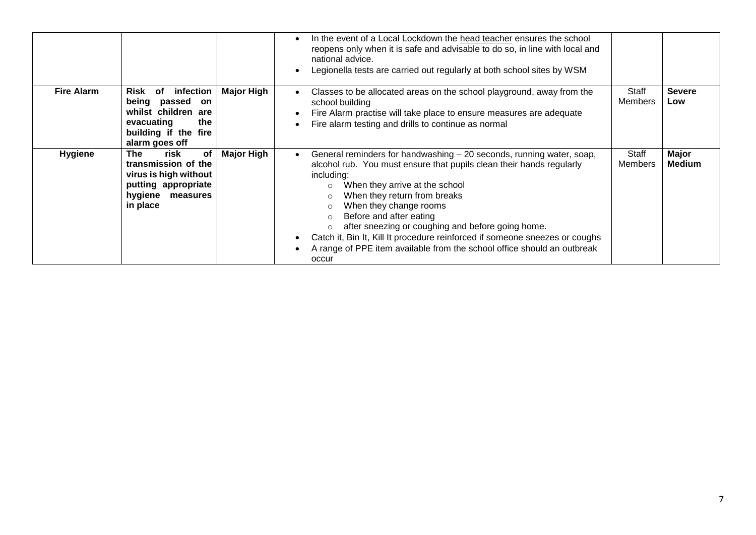|                   |                                                                                                                                    |                   | In the event of a Local Lockdown the head teacher ensures the school<br>reopens only when it is safe and advisable to do so, in line with local and<br>national advice.<br>Legionella tests are carried out regularly at both school sites by WSM                                                                                                                                                                                                                                                                                  |                         |                               |
|-------------------|------------------------------------------------------------------------------------------------------------------------------------|-------------------|------------------------------------------------------------------------------------------------------------------------------------------------------------------------------------------------------------------------------------------------------------------------------------------------------------------------------------------------------------------------------------------------------------------------------------------------------------------------------------------------------------------------------------|-------------------------|-------------------------------|
| <b>Fire Alarm</b> | infection<br>Risk of<br>being passed<br>on<br>whilst children are<br>evacuating<br>the<br>building if the fire<br>alarm goes off   | <b>Major High</b> | Classes to be allocated areas on the school playground, away from the<br>school building<br>Fire Alarm practise will take place to ensure measures are adequate<br>Fire alarm testing and drills to continue as normal                                                                                                                                                                                                                                                                                                             | Staff<br><b>Members</b> | <b>Severe</b><br>Low          |
| <b>Hygiene</b>    | risk<br>of<br><b>The</b><br>transmission of the<br>virus is high without<br>putting appropriate<br>hygiene<br>measures<br>in place | <b>Major High</b> | General reminders for handwashing – 20 seconds, running water, soap,<br>alcohol rub. You must ensure that pupils clean their hands regularly<br>including:<br>When they arrive at the school<br>$\circ$<br>When they return from breaks<br>When they change rooms<br>Before and after eating<br>$\bigcirc$<br>after sneezing or coughing and before going home.<br>Catch it, Bin It, Kill It procedure reinforced if someone sneezes or coughs<br>A range of PPE item available from the school office should an outbreak<br>occur | Staff<br><b>Members</b> | <b>Major</b><br><b>Medium</b> |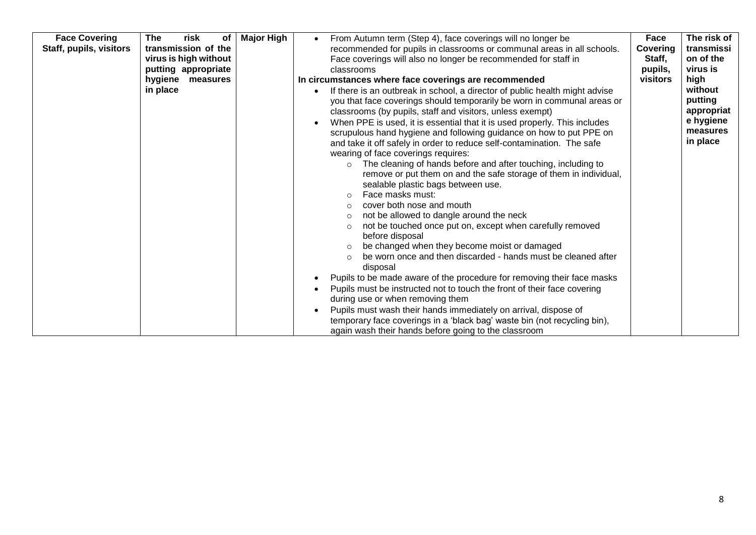| <b>Face Covering</b><br>Staff, pupils, visitors | The<br>risk<br>of<br>transmission of the<br>virus is high without<br>putting appropriate<br>hygiene measures<br>in place | <b>Major High</b> | From Autumn term (Step 4), face coverings will no longer be<br>recommended for pupils in classrooms or communal areas in all schools.<br>Face coverings will also no longer be recommended for staff in<br>classrooms<br>In circumstances where face coverings are recommended<br>If there is an outbreak in school, a director of public health might advise<br>you that face coverings should temporarily be worn in communal areas or<br>classrooms (by pupils, staff and visitors, unless exempt)<br>When PPE is used, it is essential that it is used properly. This includes<br>scrupulous hand hygiene and following guidance on how to put PPE on<br>and take it off safely in order to reduce self-contamination. The safe<br>wearing of face coverings requires:<br>The cleaning of hands before and after touching, including to<br>$\circ$<br>remove or put them on and the safe storage of them in individual,<br>sealable plastic bags between use.<br>Face masks must:<br>cover both nose and mouth<br>$\bigcirc$<br>not be allowed to dangle around the neck<br>not be touched once put on, except when carefully removed<br>$\circ$<br>before disposal<br>be changed when they become moist or damaged<br>be worn once and then discarded - hands must be cleaned after<br>$\circ$<br>disposal<br>Pupils to be made aware of the procedure for removing their face masks<br>Pupils must be instructed not to touch the front of their face covering<br>during use or when removing them<br>Pupils must wash their hands immediately on arrival, dispose of<br>temporary face coverings in a 'black bag' waste bin (not recycling bin),<br>again wash their hands before going to the classroom | Face<br>Covering<br>Staff,<br>pupils,<br>visitors | The risk of<br>transmissi<br>on of the<br>virus is<br>high<br>without<br>putting<br>appropriat<br>e hygiene<br>measures<br>in place |
|-------------------------------------------------|--------------------------------------------------------------------------------------------------------------------------|-------------------|-----------------------------------------------------------------------------------------------------------------------------------------------------------------------------------------------------------------------------------------------------------------------------------------------------------------------------------------------------------------------------------------------------------------------------------------------------------------------------------------------------------------------------------------------------------------------------------------------------------------------------------------------------------------------------------------------------------------------------------------------------------------------------------------------------------------------------------------------------------------------------------------------------------------------------------------------------------------------------------------------------------------------------------------------------------------------------------------------------------------------------------------------------------------------------------------------------------------------------------------------------------------------------------------------------------------------------------------------------------------------------------------------------------------------------------------------------------------------------------------------------------------------------------------------------------------------------------------------------------------------------------------------------------------------------------------------------------------|---------------------------------------------------|-------------------------------------------------------------------------------------------------------------------------------------|
|-------------------------------------------------|--------------------------------------------------------------------------------------------------------------------------|-------------------|-----------------------------------------------------------------------------------------------------------------------------------------------------------------------------------------------------------------------------------------------------------------------------------------------------------------------------------------------------------------------------------------------------------------------------------------------------------------------------------------------------------------------------------------------------------------------------------------------------------------------------------------------------------------------------------------------------------------------------------------------------------------------------------------------------------------------------------------------------------------------------------------------------------------------------------------------------------------------------------------------------------------------------------------------------------------------------------------------------------------------------------------------------------------------------------------------------------------------------------------------------------------------------------------------------------------------------------------------------------------------------------------------------------------------------------------------------------------------------------------------------------------------------------------------------------------------------------------------------------------------------------------------------------------------------------------------------------------|---------------------------------------------------|-------------------------------------------------------------------------------------------------------------------------------------|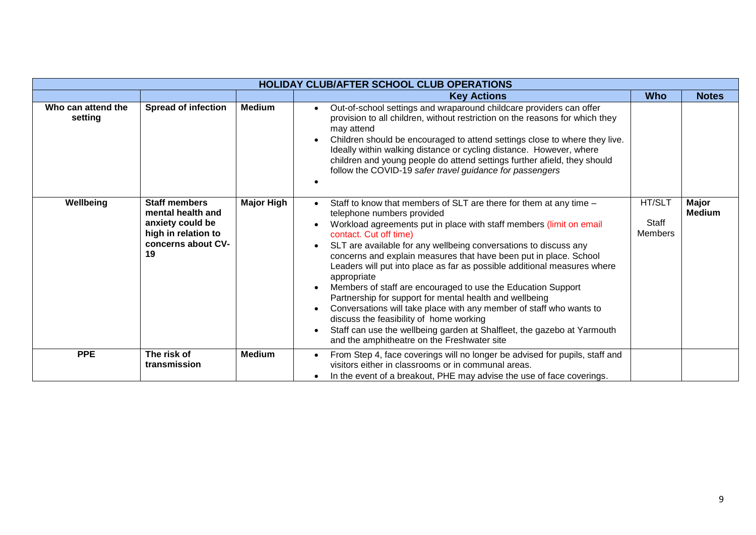|                               | <b>HOLIDAY CLUB/AFTER SCHOOL CLUB OPERATIONS</b>                                                                 |                   |                                                                                                                                                                                                                                                                                                                                                                                                                                                                                                                                                                                                                                                                                                                                                                                                              |                                          |                               |  |  |
|-------------------------------|------------------------------------------------------------------------------------------------------------------|-------------------|--------------------------------------------------------------------------------------------------------------------------------------------------------------------------------------------------------------------------------------------------------------------------------------------------------------------------------------------------------------------------------------------------------------------------------------------------------------------------------------------------------------------------------------------------------------------------------------------------------------------------------------------------------------------------------------------------------------------------------------------------------------------------------------------------------------|------------------------------------------|-------------------------------|--|--|
|                               |                                                                                                                  |                   | <b>Key Actions</b>                                                                                                                                                                                                                                                                                                                                                                                                                                                                                                                                                                                                                                                                                                                                                                                           | <b>Who</b>                               | <b>Notes</b>                  |  |  |
| Who can attend the<br>setting | <b>Spread of infection</b>                                                                                       | Medium            | Out-of-school settings and wraparound childcare providers can offer<br>provision to all children, without restriction on the reasons for which they<br>may attend<br>Children should be encouraged to attend settings close to where they live.<br>Ideally within walking distance or cycling distance. However, where<br>children and young people do attend settings further afield, they should<br>follow the COVID-19 safer travel guidance for passengers                                                                                                                                                                                                                                                                                                                                               |                                          |                               |  |  |
| Wellbeing                     | <b>Staff members</b><br>mental health and<br>anxiety could be<br>high in relation to<br>concerns about CV-<br>19 | <b>Major High</b> | Staff to know that members of SLT are there for them at any time -<br>telephone numbers provided<br>Workload agreements put in place with staff members (limit on email<br>contact. Cut off time)<br>SLT are available for any wellbeing conversations to discuss any<br>concerns and explain measures that have been put in place. School<br>Leaders will put into place as far as possible additional measures where<br>appropriate<br>Members of staff are encouraged to use the Education Support<br>Partnership for support for mental health and wellbeing<br>Conversations will take place with any member of staff who wants to<br>discuss the feasibility of home working<br>Staff can use the wellbeing garden at Shalfleet, the gazebo at Yarmouth<br>and the amphitheatre on the Freshwater site | HT/SLT<br><b>Staff</b><br><b>Members</b> | <b>Major</b><br><b>Medium</b> |  |  |
| <b>PPE</b>                    | The risk of<br>transmission                                                                                      | <b>Medium</b>     | From Step 4, face coverings will no longer be advised for pupils, staff and<br>visitors either in classrooms or in communal areas.<br>In the event of a breakout, PHE may advise the use of face coverings.                                                                                                                                                                                                                                                                                                                                                                                                                                                                                                                                                                                                  |                                          |                               |  |  |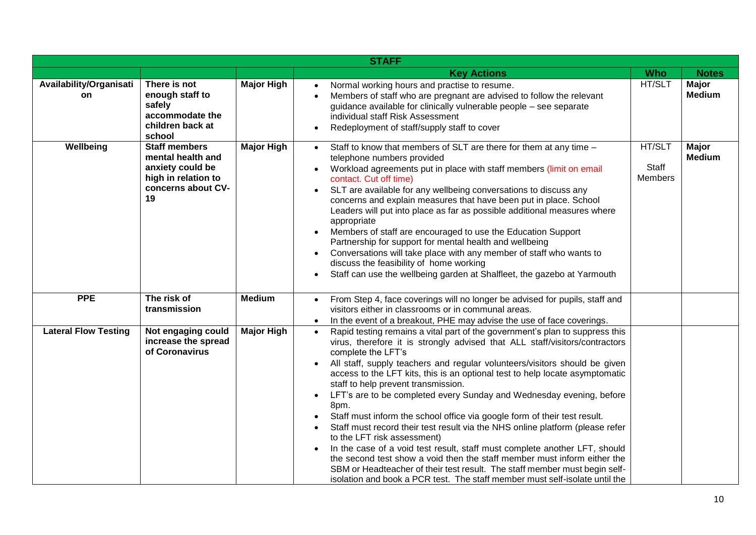|                               |                                                                                                                  |                   | <b>STAFF</b>                                                                                                                                                                                                                                                                                                                                                                                                                                                                                                                                                                                                                                                                                                                                                                                                                                                                                                                                                                                            |                                          |                               |
|-------------------------------|------------------------------------------------------------------------------------------------------------------|-------------------|---------------------------------------------------------------------------------------------------------------------------------------------------------------------------------------------------------------------------------------------------------------------------------------------------------------------------------------------------------------------------------------------------------------------------------------------------------------------------------------------------------------------------------------------------------------------------------------------------------------------------------------------------------------------------------------------------------------------------------------------------------------------------------------------------------------------------------------------------------------------------------------------------------------------------------------------------------------------------------------------------------|------------------------------------------|-------------------------------|
|                               |                                                                                                                  |                   | <b>Key Actions</b>                                                                                                                                                                                                                                                                                                                                                                                                                                                                                                                                                                                                                                                                                                                                                                                                                                                                                                                                                                                      | <b>Who</b>                               | <b>Notes</b>                  |
| Availability/Organisati<br>on | There is not<br>enough staff to<br>safely<br>accommodate the<br>children back at<br>school                       | <b>Major High</b> | Normal working hours and practise to resume.<br>Members of staff who are pregnant are advised to follow the relevant<br>guidance available for clinically vulnerable people - see separate<br>individual staff Risk Assessment<br>Redeployment of staff/supply staff to cover                                                                                                                                                                                                                                                                                                                                                                                                                                                                                                                                                                                                                                                                                                                           | HT/SLT                                   | <b>Major</b><br><b>Medium</b> |
| Wellbeing                     | <b>Staff members</b><br>mental health and<br>anxiety could be<br>high in relation to<br>concerns about CV-<br>19 | <b>Major High</b> | Staff to know that members of SLT are there for them at any time -<br>$\bullet$<br>telephone numbers provided<br>Workload agreements put in place with staff members (limit on email<br>contact. Cut off time)<br>SLT are available for any wellbeing conversations to discuss any<br>concerns and explain measures that have been put in place. School<br>Leaders will put into place as far as possible additional measures where<br>appropriate<br>Members of staff are encouraged to use the Education Support<br>Partnership for support for mental health and wellbeing<br>Conversations will take place with any member of staff who wants to<br>discuss the feasibility of home working<br>Staff can use the wellbeing garden at Shalfleet, the gazebo at Yarmouth                                                                                                                                                                                                                              | HT/SLT<br><b>Staff</b><br><b>Members</b> | Major<br><b>Medium</b>        |
| <b>PPE</b>                    | The risk of<br>transmission                                                                                      | <b>Medium</b>     | From Step 4, face coverings will no longer be advised for pupils, staff and<br>$\bullet$<br>visitors either in classrooms or in communal areas.<br>In the event of a breakout, PHE may advise the use of face coverings.                                                                                                                                                                                                                                                                                                                                                                                                                                                                                                                                                                                                                                                                                                                                                                                |                                          |                               |
| <b>Lateral Flow Testing</b>   | Not engaging could<br>increase the spread<br>of Coronavirus                                                      | <b>Major High</b> | Rapid testing remains a vital part of the government's plan to suppress this<br>virus, therefore it is strongly advised that ALL staff/visitors/contractors<br>complete the LFT's<br>All staff, supply teachers and regular volunteers/visitors should be given<br>access to the LFT kits, this is an optional test to help locate asymptomatic<br>staff to help prevent transmission.<br>LFT's are to be completed every Sunday and Wednesday evening, before<br>$\bullet$<br>8pm.<br>Staff must inform the school office via google form of their test result.<br>Staff must record their test result via the NHS online platform (please refer<br>to the LFT risk assessment)<br>In the case of a void test result, staff must complete another LFT, should<br>the second test show a void then the staff member must inform either the<br>SBM or Headteacher of their test result. The staff member must begin self-<br>isolation and book a PCR test. The staff member must self-isolate until the |                                          |                               |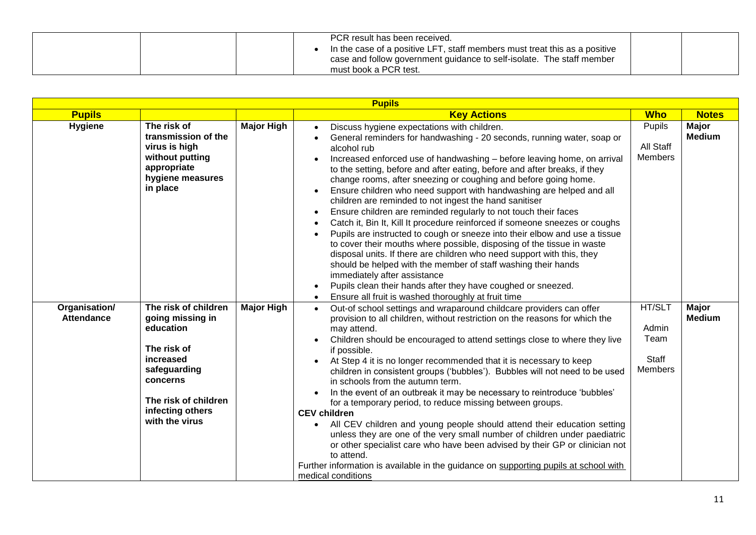| PCR result has been received.<br>In the case of a positive LFT, staff members must treat this as a positive<br>case and follow government guidance to self-isolate. The staff member |  |
|--------------------------------------------------------------------------------------------------------------------------------------------------------------------------------------|--|
| must book a PCR test.                                                                                                                                                                |  |

| <b>Pupils</b>                      |                                                                                                                                                                             |                   |                                                                                                                                                                                                                                                                                                                                                                                                                                                                                                                                                                                                                                                                                                                                                                                                                                                                                                                                                                                                                                                                                                               |                                                    |                               |  |
|------------------------------------|-----------------------------------------------------------------------------------------------------------------------------------------------------------------------------|-------------------|---------------------------------------------------------------------------------------------------------------------------------------------------------------------------------------------------------------------------------------------------------------------------------------------------------------------------------------------------------------------------------------------------------------------------------------------------------------------------------------------------------------------------------------------------------------------------------------------------------------------------------------------------------------------------------------------------------------------------------------------------------------------------------------------------------------------------------------------------------------------------------------------------------------------------------------------------------------------------------------------------------------------------------------------------------------------------------------------------------------|----------------------------------------------------|-------------------------------|--|
| <b>Pupils</b>                      |                                                                                                                                                                             |                   | <b>Key Actions</b>                                                                                                                                                                                                                                                                                                                                                                                                                                                                                                                                                                                                                                                                                                                                                                                                                                                                                                                                                                                                                                                                                            | <b>Who</b>                                         | <b>Notes</b>                  |  |
| <b>Hygiene</b>                     | The risk of<br>transmission of the<br>virus is high<br>without putting<br>appropriate<br>hygiene measures<br>in place                                                       | <b>Major High</b> | Discuss hygiene expectations with children.<br>General reminders for handwashing - 20 seconds, running water, soap or<br>alcohol rub<br>Increased enforced use of handwashing - before leaving home, on arrival<br>to the setting, before and after eating, before and after breaks, if they<br>change rooms, after sneezing or coughing and before going home.<br>Ensure children who need support with handwashing are helped and all<br>children are reminded to not ingest the hand sanitiser<br>Ensure children are reminded regularly to not touch their faces<br>Catch it, Bin It, Kill It procedure reinforced if someone sneezes or coughs<br>Pupils are instructed to cough or sneeze into their elbow and use a tissue<br>to cover their mouths where possible, disposing of the tissue in waste<br>disposal units. If there are children who need support with this, they<br>should be helped with the member of staff washing their hands<br>immediately after assistance<br>Pupils clean their hands after they have coughed or sneezed.<br>Ensure all fruit is washed thoroughly at fruit time | <b>Pupils</b><br>All Staff<br><b>Members</b>       | <b>Major</b><br><b>Medium</b> |  |
| Organisation/<br><b>Attendance</b> | The risk of children<br>going missing in<br>education<br>The risk of<br>increased<br>safeguarding<br>concerns<br>The risk of children<br>infecting others<br>with the virus | <b>Major High</b> | Out-of school settings and wraparound childcare providers can offer<br>$\bullet$<br>provision to all children, without restriction on the reasons for which the<br>may attend.<br>Children should be encouraged to attend settings close to where they live<br>if possible.<br>At Step 4 it is no longer recommended that it is necessary to keep<br>children in consistent groups ('bubbles'). Bubbles will not need to be used<br>in schools from the autumn term.<br>In the event of an outbreak it may be necessary to reintroduce 'bubbles'<br>for a temporary period, to reduce missing between groups.<br><b>CEV children</b><br>All CEV children and young people should attend their education setting<br>unless they are one of the very small number of children under paediatric<br>or other specialist care who have been advised by their GP or clinician not<br>to attend.<br>Further information is available in the guidance on supporting pupils at school with<br>medical conditions                                                                                                       | HT/SLT<br>Admin<br>Team<br>Staff<br><b>Members</b> | <b>Major</b><br><b>Medium</b> |  |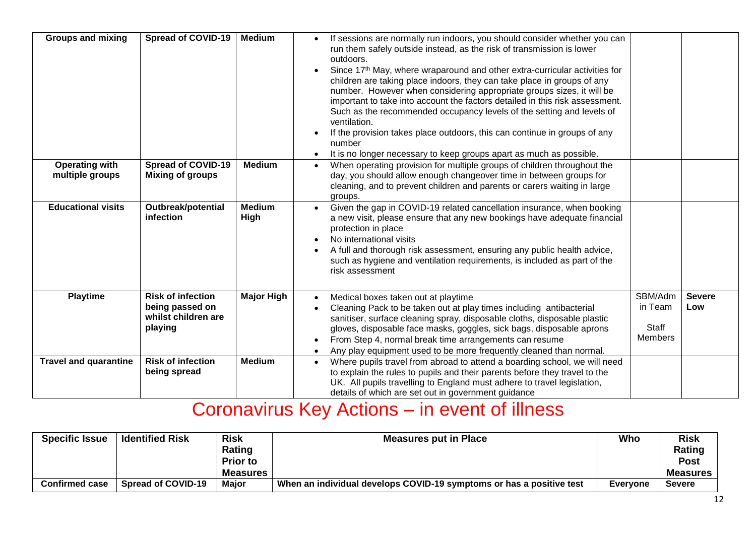| <b>Groups and mixing</b>                 | <b>Spread of COVID-19</b>                                                     | <b>Medium</b>         | If sessions are normally run indoors, you should consider whether you can<br>run them safely outside instead, as the risk of transmission is lower<br>outdoors.<br>Since 17th May, where wraparound and other extra-curricular activities for<br>$\bullet$<br>children are taking place indoors, they can take place in groups of any<br>number. However when considering appropriate groups sizes, it will be<br>important to take into account the factors detailed in this risk assessment.<br>Such as the recommended occupancy levels of the setting and levels of<br>ventilation.<br>If the provision takes place outdoors, this can continue in groups of any<br>number<br>It is no longer necessary to keep groups apart as much as possible. |                                        |                      |
|------------------------------------------|-------------------------------------------------------------------------------|-----------------------|-------------------------------------------------------------------------------------------------------------------------------------------------------------------------------------------------------------------------------------------------------------------------------------------------------------------------------------------------------------------------------------------------------------------------------------------------------------------------------------------------------------------------------------------------------------------------------------------------------------------------------------------------------------------------------------------------------------------------------------------------------|----------------------------------------|----------------------|
| <b>Operating with</b><br>multiple groups | <b>Spread of COVID-19</b><br><b>Mixing of groups</b>                          | <b>Medium</b>         | When operating provision for multiple groups of children throughout the<br>$\bullet$<br>day, you should allow enough changeover time in between groups for<br>cleaning, and to prevent children and parents or carers waiting in large<br>groups.                                                                                                                                                                                                                                                                                                                                                                                                                                                                                                     |                                        |                      |
| <b>Educational visits</b>                | Outbreak/potential<br>infection                                               | <b>Medium</b><br>High | Given the gap in COVID-19 related cancellation insurance, when booking<br>$\bullet$<br>a new visit, please ensure that any new bookings have adequate financial<br>protection in place<br>No international visits<br>A full and thorough risk assessment, ensuring any public health advice,<br>such as hygiene and ventilation requirements, is included as part of the<br>risk assessment                                                                                                                                                                                                                                                                                                                                                           |                                        |                      |
| <b>Playtime</b>                          | <b>Risk of infection</b><br>being passed on<br>whilst children are<br>playing | <b>Major High</b>     | Medical boxes taken out at playtime<br>$\bullet$<br>Cleaning Pack to be taken out at play times including antibacterial<br>sanitiser, surface cleaning spray, disposable cloths, disposable plastic<br>gloves, disposable face masks, goggles, sick bags, disposable aprons<br>From Step 4, normal break time arrangements can resume<br>Any play equipment used to be more frequently cleaned than normal.                                                                                                                                                                                                                                                                                                                                           | SBM/Adm<br>in Team<br>Staff<br>Members | <b>Severe</b><br>Low |
| <b>Travel and quarantine</b>             | <b>Risk of infection</b><br>being spread                                      | <b>Medium</b>         | Where pupils travel from abroad to attend a boarding school, we will need<br>$\bullet$<br>to explain the rules to pupils and their parents before they travel to the<br>UK. All pupils travelling to England must adhere to travel legislation,<br>details of which are set out in government guidance                                                                                                                                                                                                                                                                                                                                                                                                                                                |                                        |                      |

## Coronavirus Key Actions – in event of illness

| <b>Specific Issue</b> | <b>Identified Risk</b>    | <b>Risk</b>     | <b>Measures put in Place</b>                                         | Who             | Risk            |
|-----------------------|---------------------------|-----------------|----------------------------------------------------------------------|-----------------|-----------------|
|                       |                           | Rating          |                                                                      |                 | Rating          |
|                       |                           | <b>Prior to</b> |                                                                      |                 | <b>Post</b>     |
|                       |                           | <b>Measures</b> |                                                                      |                 | <b>Measures</b> |
| <b>Confirmed case</b> | <b>Spread of COVID-19</b> | <b>Major</b>    | When an individual develops COVID-19 symptoms or has a positive test | <b>Evervone</b> | <b>Severe</b>   |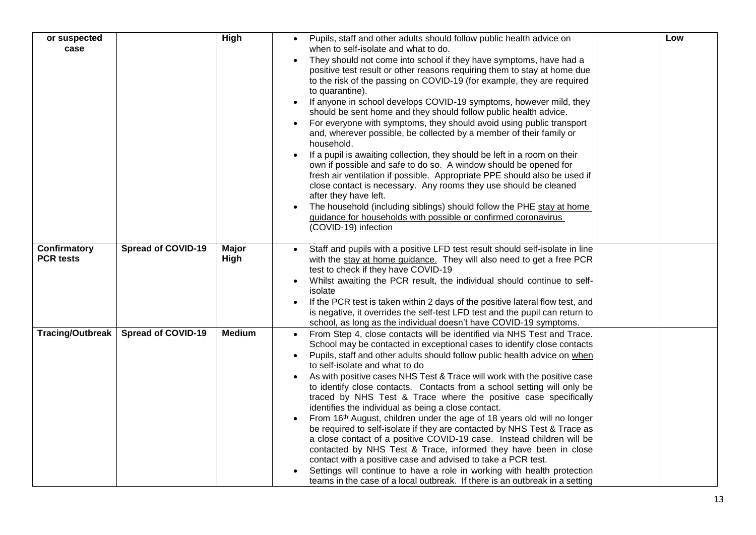| or suspected            |                           | <b>High</b>   | Pupils, staff and other adults should follow public health advice on                                                                                | Low |
|-------------------------|---------------------------|---------------|-----------------------------------------------------------------------------------------------------------------------------------------------------|-----|
| case                    |                           |               | when to self-isolate and what to do.                                                                                                                |     |
|                         |                           |               | They should not come into school if they have symptoms, have had a                                                                                  |     |
|                         |                           |               | positive test result or other reasons requiring them to stay at home due                                                                            |     |
|                         |                           |               | to the risk of the passing on COVID-19 (for example, they are required<br>to quarantine).                                                           |     |
|                         |                           |               | If anyone in school develops COVID-19 symptoms, however mild, they                                                                                  |     |
|                         |                           |               | should be sent home and they should follow public health advice.                                                                                    |     |
|                         |                           |               | For everyone with symptoms, they should avoid using public transport                                                                                |     |
|                         |                           |               | and, wherever possible, be collected by a member of their family or<br>household.                                                                   |     |
|                         |                           |               | If a pupil is awaiting collection, they should be left in a room on their                                                                           |     |
|                         |                           |               | own if possible and safe to do so. A window should be opened for<br>fresh air ventilation if possible. Appropriate PPE should also be used if       |     |
|                         |                           |               | close contact is necessary. Any rooms they use should be cleaned                                                                                    |     |
|                         |                           |               | after they have left.                                                                                                                               |     |
|                         |                           |               | The household (including siblings) should follow the PHE stay at home                                                                               |     |
|                         |                           |               | guidance for households with possible or confirmed coronavirus<br>(COVID-19) infection                                                              |     |
|                         |                           |               |                                                                                                                                                     |     |
| Confirmatory            | <b>Spread of COVID-19</b> | <b>Major</b>  | Staff and pupils with a positive LFD test result should self-isolate in line                                                                        |     |
| <b>PCR tests</b>        |                           | High          | with the stay at home guidance. They will also need to get a free PCR                                                                               |     |
|                         |                           |               | test to check if they have COVID-19<br>Whilst awaiting the PCR result, the individual should continue to self-                                      |     |
|                         |                           |               | isolate                                                                                                                                             |     |
|                         |                           |               | If the PCR test is taken within 2 days of the positive lateral flow test, and                                                                       |     |
|                         |                           |               | is negative, it overrides the self-test LFD test and the pupil can return to<br>school, as long as the individual doesn't have COVID-19 symptoms.   |     |
| <b>Tracing/Outbreak</b> | <b>Spread of COVID-19</b> | <b>Medium</b> | From Step 4, close contacts will be identified via NHS Test and Trace.                                                                              |     |
|                         |                           |               | School may be contacted in exceptional cases to identify close contacts                                                                             |     |
|                         |                           |               | Pupils, staff and other adults should follow public health advice on when                                                                           |     |
|                         |                           |               | to self-isolate and what to do                                                                                                                      |     |
|                         |                           |               | As with positive cases NHS Test & Trace will work with the positive case<br>to identify close contacts. Contacts from a school setting will only be |     |
|                         |                           |               | traced by NHS Test & Trace where the positive case specifically                                                                                     |     |
|                         |                           |               | identifies the individual as being a close contact.                                                                                                 |     |
|                         |                           |               | From 16th August, children under the age of 18 years old will no longer                                                                             |     |
|                         |                           |               | be required to self-isolate if they are contacted by NHS Test & Trace as<br>a close contact of a positive COVID-19 case. Instead children will be   |     |
|                         |                           |               | contacted by NHS Test & Trace, informed they have been in close                                                                                     |     |
|                         |                           |               | contact with a positive case and advised to take a PCR test.                                                                                        |     |
|                         |                           |               | Settings will continue to have a role in working with health protection                                                                             |     |
|                         |                           |               | teams in the case of a local outbreak. If there is an outbreak in a setting                                                                         |     |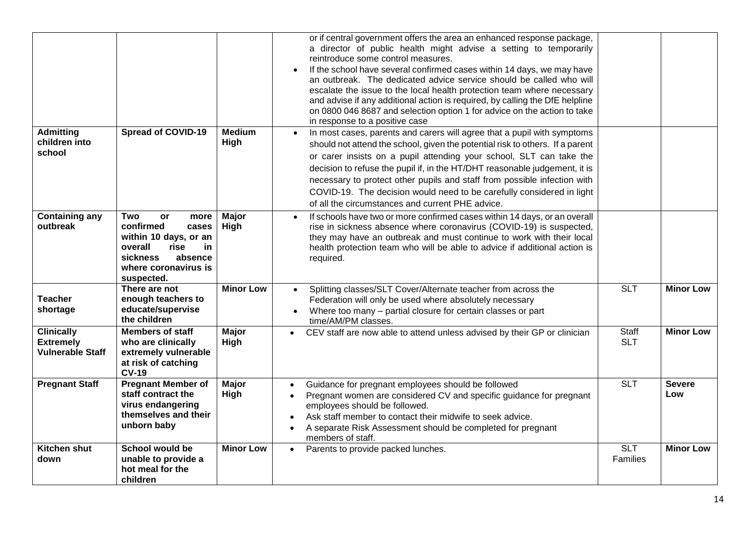|                                                                  |                                                                                                                                                                      |                       | or if central government offers the area an enhanced response package,<br>a director of public health might advise a setting to temporarily<br>reintroduce some control measures.<br>If the school have several confirmed cases within 14 days, we may have<br>an outbreak. The dedicated advice service should be called who will<br>escalate the issue to the local health protection team where necessary<br>and advise if any additional action is required, by calling the DfE helpline<br>on 0800 046 8687 and selection option 1 for advice on the action to take<br>in response to a positive case |                                     |                      |
|------------------------------------------------------------------|----------------------------------------------------------------------------------------------------------------------------------------------------------------------|-----------------------|------------------------------------------------------------------------------------------------------------------------------------------------------------------------------------------------------------------------------------------------------------------------------------------------------------------------------------------------------------------------------------------------------------------------------------------------------------------------------------------------------------------------------------------------------------------------------------------------------------|-------------------------------------|----------------------|
| <b>Admitting</b><br>children into<br>school                      | <b>Spread of COVID-19</b>                                                                                                                                            | <b>Medium</b><br>High | In most cases, parents and carers will agree that a pupil with symptoms<br>$\bullet$<br>should not attend the school, given the potential risk to others. If a parent<br>or carer insists on a pupil attending your school, SLT can take the<br>decision to refuse the pupil if, in the HT/DHT reasonable judgement, it is<br>necessary to protect other pupils and staff from possible infection with<br>COVID-19. The decision would need to be carefully considered in light<br>of all the circumstances and current PHE advice.                                                                        |                                     |                      |
| <b>Containing any</b><br>outbreak                                | Two<br><b>or</b><br>more<br>confirmed<br>cases<br>within 10 days, or an<br>overall<br>in<br>rise<br><b>sickness</b><br>absence<br>where coronavirus is<br>suspected. | <b>Major</b><br>High  | If schools have two or more confirmed cases within 14 days, or an overall<br>$\bullet$<br>rise in sickness absence where coronavirus (COVID-19) is suspected,<br>they may have an outbreak and must continue to work with their local<br>health protection team who will be able to advice if additional action is<br>required.                                                                                                                                                                                                                                                                            |                                     |                      |
| <b>Teacher</b><br>shortage                                       | There are not<br>enough teachers to<br>educate/supervise<br>the children                                                                                             | <b>Minor Low</b>      | Splitting classes/SLT Cover/Alternate teacher from across the<br>$\bullet$<br>Federation will only be used where absolutely necessary<br>Where too many - partial closure for certain classes or part<br>time/AM/PM classes.                                                                                                                                                                                                                                                                                                                                                                               | <b>SLT</b>                          | <b>Minor Low</b>     |
| <b>Clinically</b><br><b>Extremely</b><br><b>Vulnerable Staff</b> | <b>Members of staff</b><br>who are clinically<br>extremely vulnerable<br>at risk of catching<br><b>CV-19</b>                                                         | Major<br>High         | CEV staff are now able to attend unless advised by their GP or clinician<br>$\bullet$                                                                                                                                                                                                                                                                                                                                                                                                                                                                                                                      | Staff<br><b>SLT</b>                 | <b>Minor Low</b>     |
| <b>Pregnant Staff</b>                                            | <b>Pregnant Member of</b><br>staff contract the<br>virus endangering<br>themselves and their<br>unborn baby                                                          | <b>Major</b><br>High  | Guidance for pregnant employees should be followed<br>$\bullet$<br>Pregnant women are considered CV and specific guidance for pregnant<br>$\bullet$<br>employees should be followed.<br>Ask staff member to contact their midwife to seek advice.<br>A separate Risk Assessment should be completed for pregnant<br>$\bullet$<br>members of staff.                                                                                                                                                                                                                                                         | <b>SLT</b>                          | <b>Severe</b><br>Low |
| Kitchen shut<br>down                                             | School would be<br>unable to provide a<br>hot meal for the<br>children                                                                                               | <b>Minor Low</b>      | Parents to provide packed lunches.<br>$\bullet$                                                                                                                                                                                                                                                                                                                                                                                                                                                                                                                                                            | $\overline{\text{SLT}}$<br>Families | <b>Minor Low</b>     |